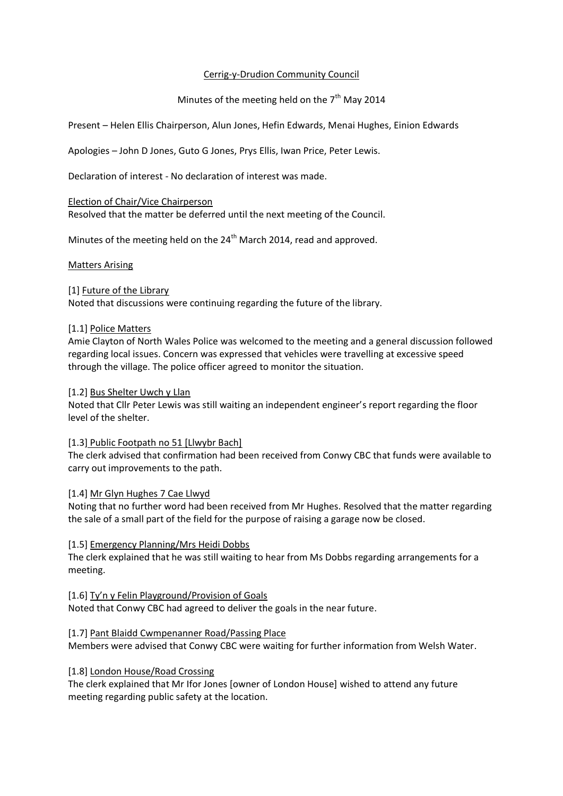## Cerrig-y-Drudion Community Council

# Minutes of the meeting held on the  $7<sup>th</sup>$  May 2014

Present – Helen Ellis Chairperson, Alun Jones, Hefin Edwards, Menai Hughes, Einion Edwards

Apologies – John D Jones, Guto G Jones, Prys Ellis, Iwan Price, Peter Lewis.

Declaration of interest - No declaration of interest was made.

#### Election of Chair/Vice Chairperson

Resolved that the matter be deferred until the next meeting of the Council.

Minutes of the meeting held on the 24<sup>th</sup> March 2014, read and approved.

#### Matters Arising

## [1] Future of the Library

Noted that discussions were continuing regarding the future of the library.

#### [1.1] Police Matters

Amie Clayton of North Wales Police was welcomed to the meeting and a general discussion followed regarding local issues. Concern was expressed that vehicles were travelling at excessive speed through the village. The police officer agreed to monitor the situation.

## [1.2] Bus Shelter Uwch y Llan

Noted that Cllr Peter Lewis was still waiting an independent engineer's report regarding the floor level of the shelter.

#### [1.3] Public Footpath no 51 [Llwybr Bach]

The clerk advised that confirmation had been received from Conwy CBC that funds were available to carry out improvements to the path.

#### [1.4] Mr Glyn Hughes 7 Cae Llwyd

Noting that no further word had been received from Mr Hughes. Resolved that the matter regarding the sale of a small part of the field for the purpose of raising a garage now be closed.

#### [1.5] Emergency Planning/Mrs Heidi Dobbs

The clerk explained that he was still waiting to hear from Ms Dobbs regarding arrangements for a meeting.

## [1.6] Ty'n y Felin Playground/Provision of Goals

Noted that Conwy CBC had agreed to deliver the goals in the near future.

#### [1.7] Pant Blaidd Cwmpenanner Road/Passing Place

Members were advised that Conwy CBC were waiting for further information from Welsh Water.

#### [1.8] London House/Road Crossing

The clerk explained that Mr Ifor Jones [owner of London House] wished to attend any future meeting regarding public safety at the location.